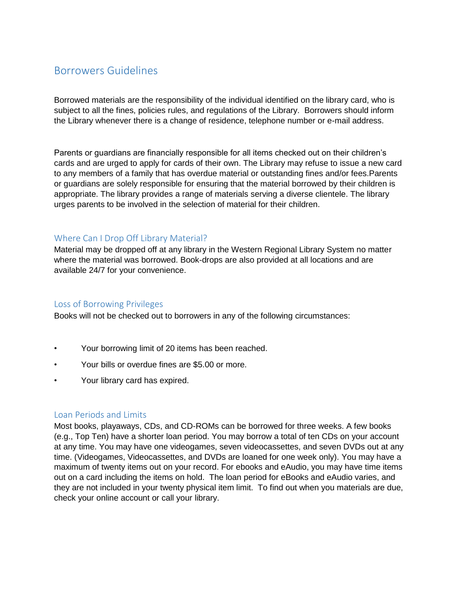# Borrowers Guidelines

Borrowed materials are the responsibility of the individual identified on the library card, who is subject to all the fines, policies rules, and regulations of the Library. Borrowers should inform the Library whenever there is a change of residence, telephone number or e-mail address.

Parents or guardians are financially responsible for all items checked out on their children's cards and are urged to apply for cards of their own. The Library may refuse to issue a new card to any members of a family that has overdue material or outstanding fines and/or fees.Parents or guardians are solely responsible for ensuring that the material borrowed by their children is appropriate. The library provides a range of materials serving a diverse clientele. The library urges parents to be involved in the selection of material for their children.

# Where Can I Drop Off Library Material?

Material may be dropped off at any library in the Western Regional Library System no matter where the material was borrowed. Book-drops are also provided at all locations and are available 24/7 for your convenience.

## Loss of Borrowing Privileges

Books will not be checked out to borrowers in any of the following circumstances:

- Your borrowing limit of 20 items has been reached.
- Your bills or overdue fines are \$5.00 or more.
- Your library card has expired.

#### Loan Periods and Limits

Most books, playaways, CDs, and CD-ROMs can be borrowed for three weeks. A few books (e.g., Top Ten) have a shorter loan period. You may borrow a total of ten CDs on your account at any time. You may have one videogames, seven videocassettes, and seven DVDs out at any time. (Videogames, Videocassettes, and DVDs are loaned for one week only). You may have a maximum of twenty items out on your record. For ebooks and eAudio, you may have time items out on a card including the items on hold. The loan period for eBooks and eAudio varies, and they are not included in your twenty physical item limit. To find out when you materials are due, check your online account or call your library.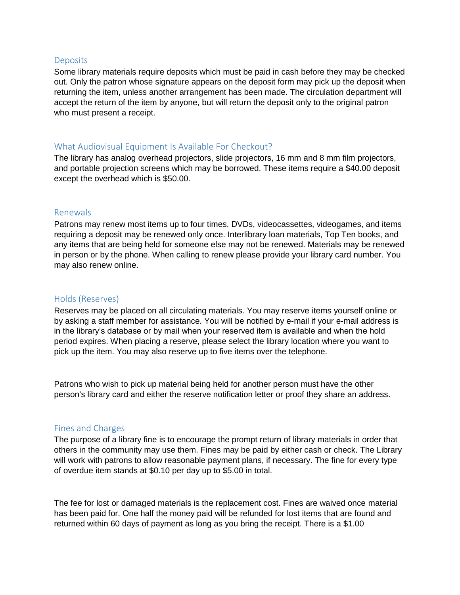#### **Deposits**

Some library materials require deposits which must be paid in cash before they may be checked out. Only the patron whose signature appears on the deposit form may pick up the deposit when returning the item, unless another arrangement has been made. The circulation department will accept the return of the item by anyone, but will return the deposit only to the original patron who must present a receipt.

### What Audiovisual Equipment Is Available For Checkout?

The library has analog overhead projectors, slide projectors, 16 mm and 8 mm film projectors, and portable projection screens which may be borrowed. These items require a \$40.00 deposit except the overhead which is \$50.00.

#### Renewals

Patrons may renew most items up to four times. DVDs, videocassettes, videogames, and items requiring a deposit may be renewed only once. Interlibrary loan materials, Top Ten books, and any items that are being held for someone else may not be renewed. Materials may be renewed in person or by the phone. When calling to renew please provide your library card number. You may also renew online.

### Holds (Reserves)

Reserves may be placed on all circulating materials. You may reserve items yourself online or by asking a staff member for assistance. You will be notified by e-mail if your e-mail address is in the library's database or by mail when your reserved item is available and when the hold period expires. When placing a reserve, please select the library location where you want to pick up the item. You may also reserve up to five items over the telephone.

Patrons who wish to pick up material being held for another person must have the other person's library card and either the reserve notification letter or proof they share an address.

## Fines and Charges

The purpose of a library fine is to encourage the prompt return of library materials in order that others in the community may use them. Fines may be paid by either cash or check. The Library will work with patrons to allow reasonable payment plans, if necessary. The fine for every type of overdue item stands at \$0.10 per day up to \$5.00 in total.

The fee for lost or damaged materials is the replacement cost. Fines are waived once material has been paid for. One half the money paid will be refunded for lost items that are found and returned within 60 days of payment as long as you bring the receipt. There is a \$1.00